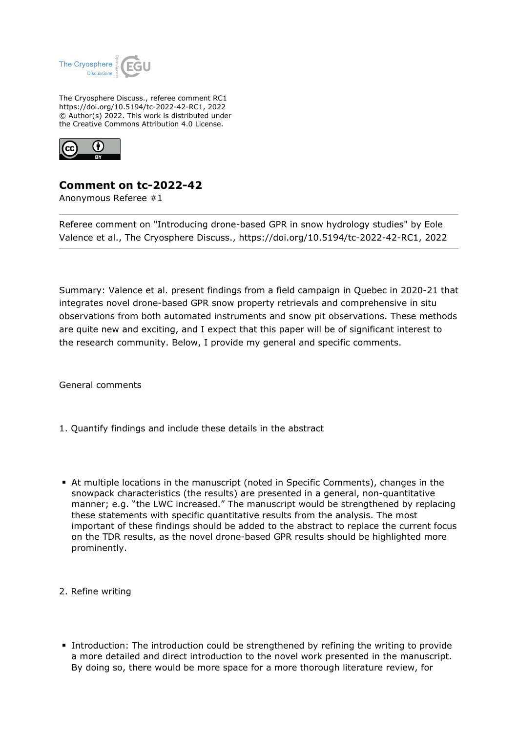

The Cryosphere Discuss., referee comment RC1 https://doi.org/10.5194/tc-2022-42-RC1, 2022 © Author(s) 2022. This work is distributed under the Creative Commons Attribution 4.0 License.



## **Comment on tc-2022-42**

Anonymous Referee #1

Referee comment on "Introducing drone-based GPR in snow hydrology studies" by Eole Valence et al., The Cryosphere Discuss., https://doi.org/10.5194/tc-2022-42-RC1, 2022

Summary: Valence et al. present findings from a field campaign in Quebec in 2020-21 that integrates novel drone-based GPR snow property retrievals and comprehensive in situ observations from both automated instruments and snow pit observations. These methods are quite new and exciting, and I expect that this paper will be of significant interest to the research community. Below, I provide my general and specific comments.

General comments

- 1. Quantify findings and include these details in the abstract
- At multiple locations in the manuscript (noted in Specific Comments), changes in the snowpack characteristics (the results) are presented in a general, non-quantitative manner; e.g. "the LWC increased." The manuscript would be strengthened by replacing these statements with specific quantitative results from the analysis. The most important of these findings should be added to the abstract to replace the current focus on the TDR results, as the novel drone-based GPR results should be highlighted more prominently.
- 2. Refine writing
- Introduction: The introduction could be strengthened by refining the writing to provide a more detailed and direct introduction to the novel work presented in the manuscript. By doing so, there would be more space for a more thorough literature review, for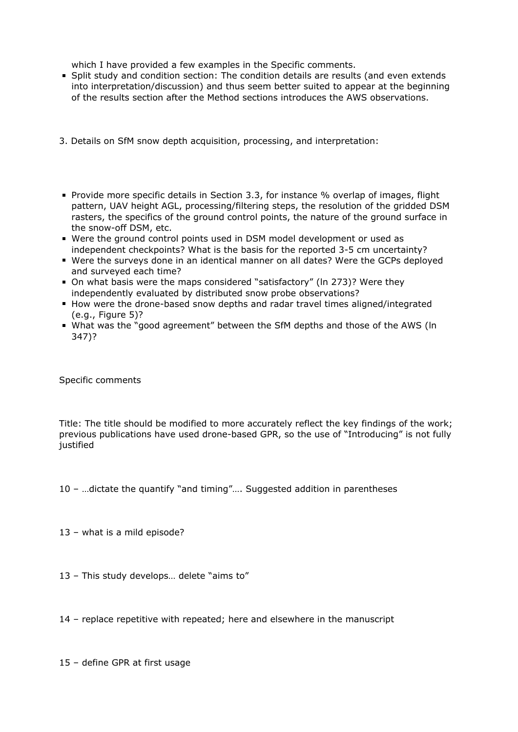which I have provided a few examples in the Specific comments.

- Split study and condition section: The condition details are results (and even extends into interpretation/discussion) and thus seem better suited to appear at the beginning of the results section after the Method sections introduces the AWS observations.
- 3. Details on SfM snow depth acquisition, processing, and interpretation:
- **Provide more specific details in Section 3.3, for instance % overlap of images, flight** pattern, UAV height AGL, processing/filtering steps, the resolution of the gridded DSM rasters, the specifics of the ground control points, the nature of the ground surface in the snow-off DSM, etc.
- Were the ground control points used in DSM model development or used as independent checkpoints? What is the basis for the reported 3-5 cm uncertainty?
- Were the surveys done in an identical manner on all dates? Were the GCPs deployed and surveyed each time?
- On what basis were the maps considered "satisfactory" (ln 273)? Were they independently evaluated by distributed snow probe observations?
- How were the drone-based snow depths and radar travel times aligned/integrated (e.g., Figure 5)?
- What was the "good agreement" between the SfM depths and those of the AWS (ln 347)?

Specific comments

Title: The title should be modified to more accurately reflect the key findings of the work; previous publications have used drone-based GPR, so the use of "Introducing" is not fully justified

10 – …dictate the quantify "and timing"…. Suggested addition in parentheses

13 – what is a mild episode?

13 – This study develops… delete "aims to"

14 – replace repetitive with repeated; here and elsewhere in the manuscript

15 – define GPR at first usage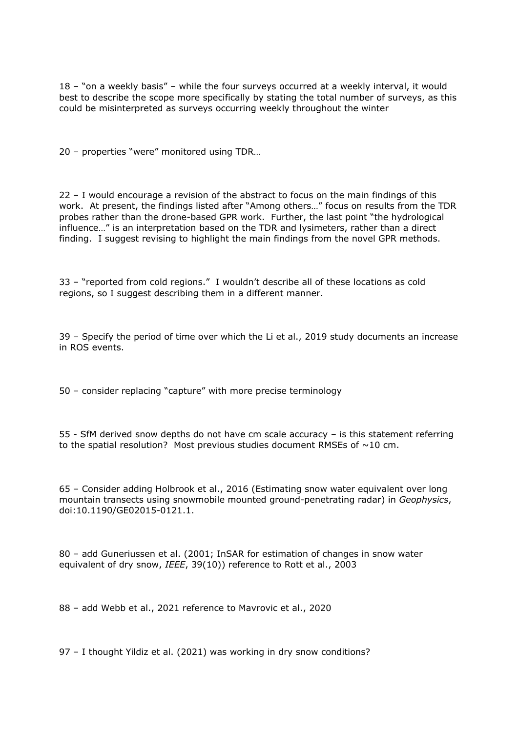18 – "on a weekly basis" – while the four surveys occurred at a weekly interval, it would best to describe the scope more specifically by stating the total number of surveys, as this could be misinterpreted as surveys occurring weekly throughout the winter

20 – properties "were" monitored using TDR…

22 – I would encourage a revision of the abstract to focus on the main findings of this work. At present, the findings listed after "Among others…" focus on results from the TDR probes rather than the drone-based GPR work. Further, the last point "the hydrological influence…" is an interpretation based on the TDR and lysimeters, rather than a direct finding. I suggest revising to highlight the main findings from the novel GPR methods.

33 – "reported from cold regions." I wouldn't describe all of these locations as cold regions, so I suggest describing them in a different manner.

39 – Specify the period of time over which the Li et al., 2019 study documents an increase in ROS events.

50 – consider replacing "capture" with more precise terminology

55 - SfM derived snow depths do not have cm scale accuracy – is this statement referring to the spatial resolution? Most previous studies document RMSEs of  $\sim$  10 cm.

65 – Consider adding Holbrook et al., 2016 (Estimating snow water equivalent over long mountain transects using snowmobile mounted ground-penetrating radar) in *Geophysics*, doi:10.1190/GE02015-0121.1.

80 – add Guneriussen et al. (2001; InSAR for estimation of changes in snow water equivalent of dry snow, *IEEE*, 39(10)) reference to Rott et al., 2003

88 – add Webb et al., 2021 reference to Mavrovic et al., 2020

97 – I thought Yildiz et al. (2021) was working in dry snow conditions?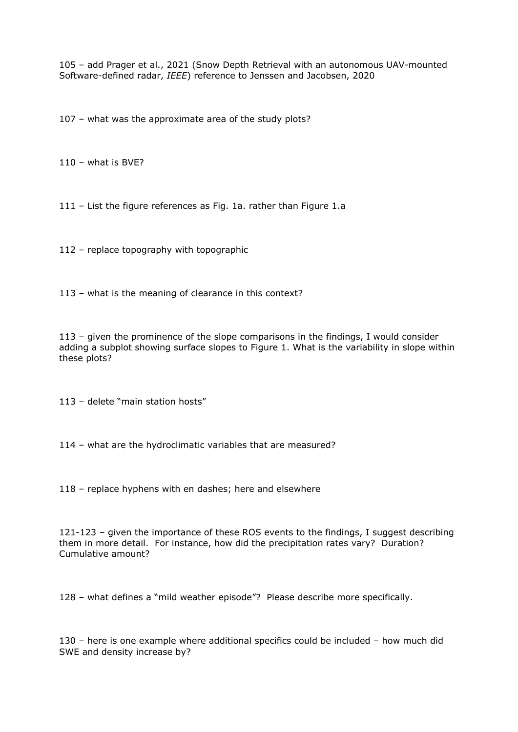105 – add Prager et al., 2021 (Snow Depth Retrieval with an autonomous UAV-mounted Software-defined radar, *IEEE*) reference to Jenssen and Jacobsen, 2020

107 – what was the approximate area of the study plots?

 $110 -$  what is BVE?

111 – List the figure references as Fig. 1a. rather than Figure 1.a

112 – replace topography with topographic

113 – what is the meaning of clearance in this context?

113 – given the prominence of the slope comparisons in the findings, I would consider adding a subplot showing surface slopes to Figure 1. What is the variability in slope within these plots?

113 – delete "main station hosts"

114 – what are the hydroclimatic variables that are measured?

118 – replace hyphens with en dashes; here and elsewhere

121-123 – given the importance of these ROS events to the findings, I suggest describing them in more detail. For instance, how did the precipitation rates vary? Duration? Cumulative amount?

128 – what defines a "mild weather episode"? Please describe more specifically.

130 – here is one example where additional specifics could be included – how much did SWE and density increase by?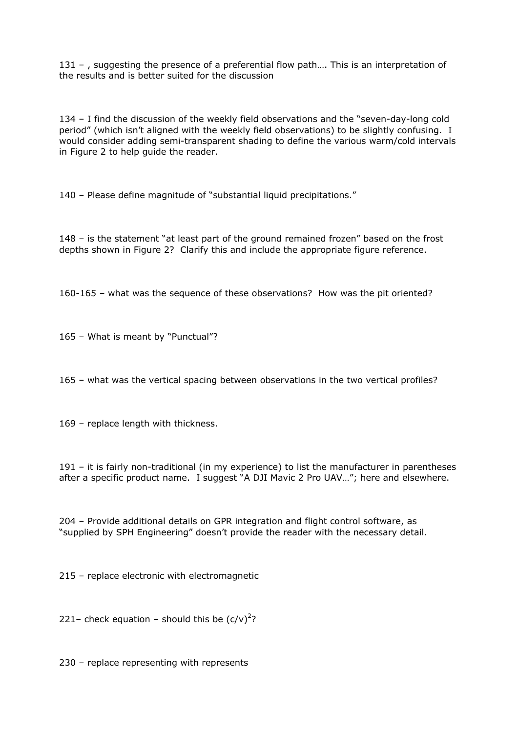131 –, suggesting the presence of a preferential flow path.... This is an interpretation of the results and is better suited for the discussion

134 – I find the discussion of the weekly field observations and the "seven-day-long cold period" (which isn't aligned with the weekly field observations) to be slightly confusing. I would consider adding semi-transparent shading to define the various warm/cold intervals in Figure 2 to help guide the reader.

140 – Please define magnitude of "substantial liquid precipitations."

148 – is the statement "at least part of the ground remained frozen" based on the frost depths shown in Figure 2? Clarify this and include the appropriate figure reference.

160-165 – what was the sequence of these observations? How was the pit oriented?

165 – What is meant by "Punctual"?

165 – what was the vertical spacing between observations in the two vertical profiles?

169 – replace length with thickness.

191 – it is fairly non-traditional (in my experience) to list the manufacturer in parentheses after a specific product name. I suggest "A DJI Mavic 2 Pro UAV…"; here and elsewhere.

204 – Provide additional details on GPR integration and flight control software, as "supplied by SPH Engineering" doesn't provide the reader with the necessary detail.

215 – replace electronic with electromagnetic

221– check equation – should this be  $(c/v)^2$ ?

230 – replace representing with represents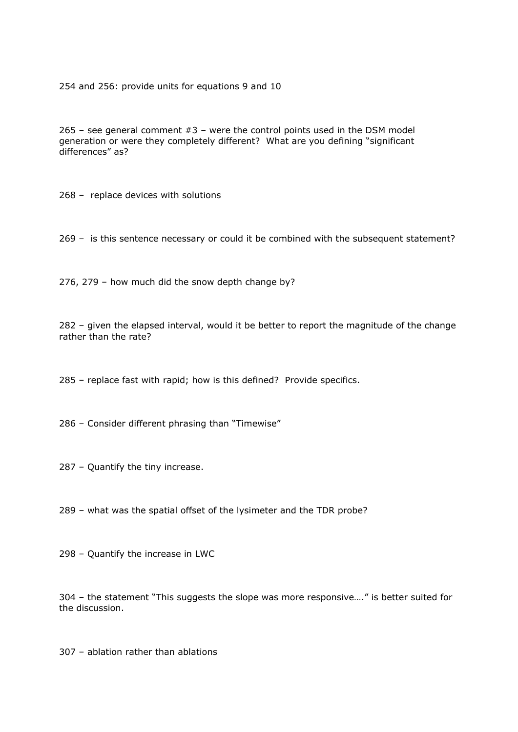254 and 256: provide units for equations 9 and 10

265 – see general comment  $#3$  – were the control points used in the DSM model generation or were they completely different? What are you defining "significant differences" as?

268 – replace devices with solutions

269 – is this sentence necessary or could it be combined with the subsequent statement?

276, 279 – how much did the snow depth change by?

282 – given the elapsed interval, would it be better to report the magnitude of the change rather than the rate?

285 – replace fast with rapid; how is this defined? Provide specifics.

286 – Consider different phrasing than "Timewise"

287 – Quantify the tiny increase.

289 – what was the spatial offset of the lysimeter and the TDR probe?

298 – Quantify the increase in LWC

304 – the statement "This suggests the slope was more responsive…." is better suited for the discussion.

307 – ablation rather than ablations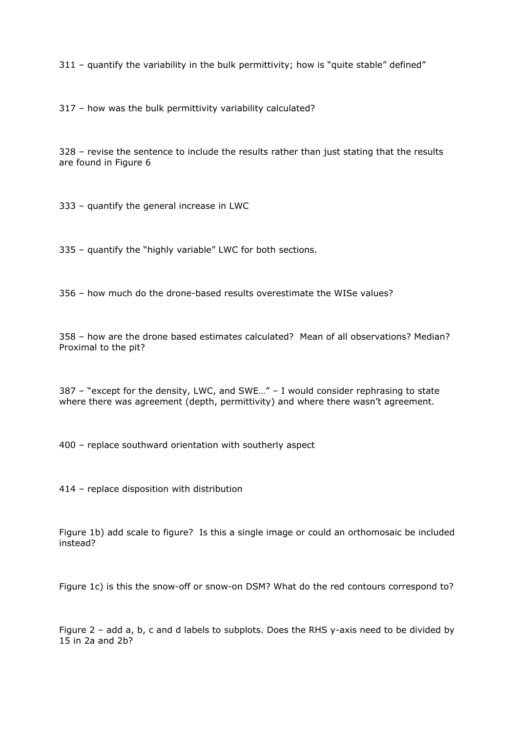311 – quantify the variability in the bulk permittivity; how is "quite stable" defined"

317 – how was the bulk permittivity variability calculated?

328 – revise the sentence to include the results rather than just stating that the results are found in Figure 6

333 – quantify the general increase in LWC

335 – quantify the "highly variable" LWC for both sections.

356 – how much do the drone-based results overestimate the WISe values?

358 – how are the drone based estimates calculated? Mean of all observations? Median? Proximal to the pit?

387 – "except for the density, LWC, and SWE…" – I would consider rephrasing to state where there was agreement (depth, permittivity) and where there wasn't agreement.

400 – replace southward orientation with southerly aspect

414 – replace disposition with distribution

Figure 1b) add scale to figure? Is this a single image or could an orthomosaic be included instead?

Figure 1c) is this the snow-off or snow-on DSM? What do the red contours correspond to?

Figure 2 – add a, b, c and d labels to subplots. Does the RHS y-axis need to be divided by 15 in 2a and 2b?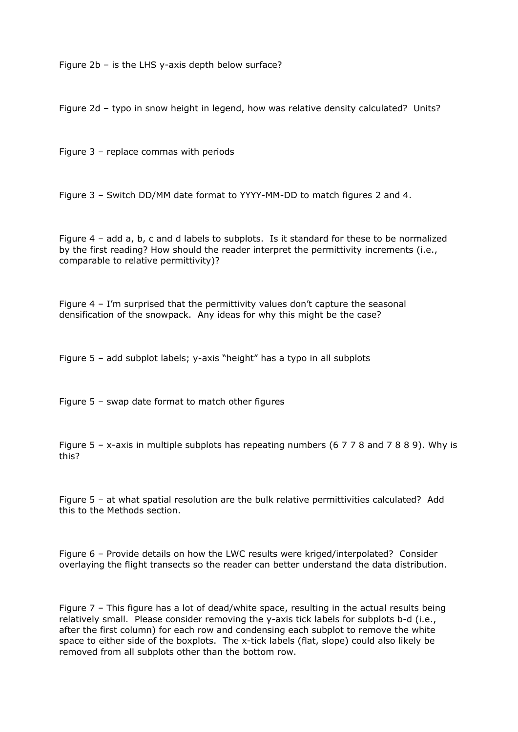Figure 2b – is the LHS y-axis depth below surface?

Figure 2d – typo in snow height in legend, how was relative density calculated? Units?

Figure 3 – replace commas with periods

Figure 3 – Switch DD/MM date format to YYYY-MM-DD to match figures 2 and 4.

Figure 4 – add a, b, c and d labels to subplots. Is it standard for these to be normalized by the first reading? How should the reader interpret the permittivity increments (i.e., comparable to relative permittivity)?

Figure 4 – I'm surprised that the permittivity values don't capture the seasonal densification of the snowpack. Any ideas for why this might be the case?

Figure 5 – add subplot labels; y-axis "height" has a typo in all subplots

Figure 5 – swap date format to match other figures

Figure 5 – x-axis in multiple subplots has repeating numbers (6 7 7 8 and 7 8 8 9). Why is this?

Figure 5 – at what spatial resolution are the bulk relative permittivities calculated? Add this to the Methods section.

Figure 6 – Provide details on how the LWC results were kriged/interpolated? Consider overlaying the flight transects so the reader can better understand the data distribution.

Figure 7 – This figure has a lot of dead/white space, resulting in the actual results being relatively small. Please consider removing the y-axis tick labels for subplots b-d (i.e., after the first column) for each row and condensing each subplot to remove the white space to either side of the boxplots. The x-tick labels (flat, slope) could also likely be removed from all subplots other than the bottom row.